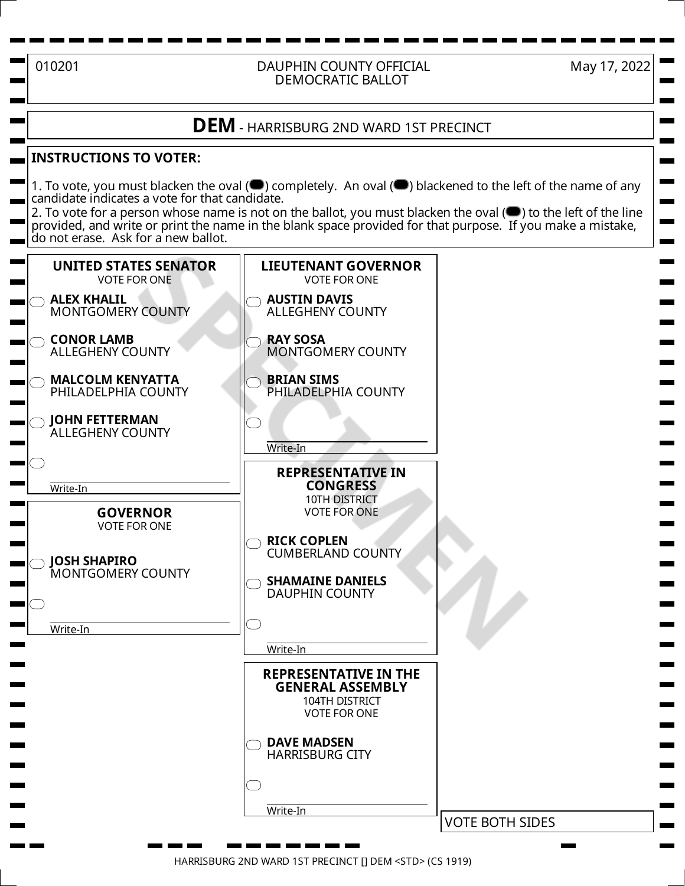## 010201 DAUPHIN COUNTY OFFICIAL DEMOCRATIC BALLOT

May 17, 2022

## **DEM** - HARRISBURG 2ND WARD 1ST PRECINCT **INSTRUCTIONS TO VOTER:** 1. To vote, you must blacken the oval (●) completely. An oval (●) blackened to the left of the name of any candidate indicates a vote for that candidate. 2. To vote for a person whose name is not on the ballot, you must blacken the oval  $(\bullet)$  to the left of the line provided, and write or print the name in the blank space provided for that purpose. If you make a mistake, do not erase. Ask for a new ballot. VOTE BOTH SIDES **UNITED STATES SENATOR** VOTE FOR ONE **ALEX KHALIL** MONTGOMERY COUNTY  $\frown$  **CONOR LAMB** ALLEGHENY COUNTY **MALCOLM KENYATTA** PHILADELPHIA COUNTY **JOHN FETTERMAN** ALLEGHENY COUNTY Write-In **GOVERNOR** VOTE FOR ONE **JOSH SHAPIRO** MONTGOMERY COUNTY Write-In **LIEUTENANT GOVERNOR** VOTE FOR ONE **AUSTIN DAVIS** ALLEGHENY COUNTY **RAY SOSA** MONTGOMERY COUNTY **BRIAN SIMS** PHILADELPHIA COUNTY Write-In **REPRESENTATIVE IN CONGRESS** 10TH DISTRICT VOTE FOR ONE **RICK COPLEN** CUMBERLAND COUNTY **SHAMAINE DANIELS** DAUPHIN COUNTY Write-In **REPRESENTATIVE IN THE GENERAL ASSEMBLY** 104TH DISTRICT VOTE FOR ONE **DAVE MADSEN** HARRISBURG CITY Write-In